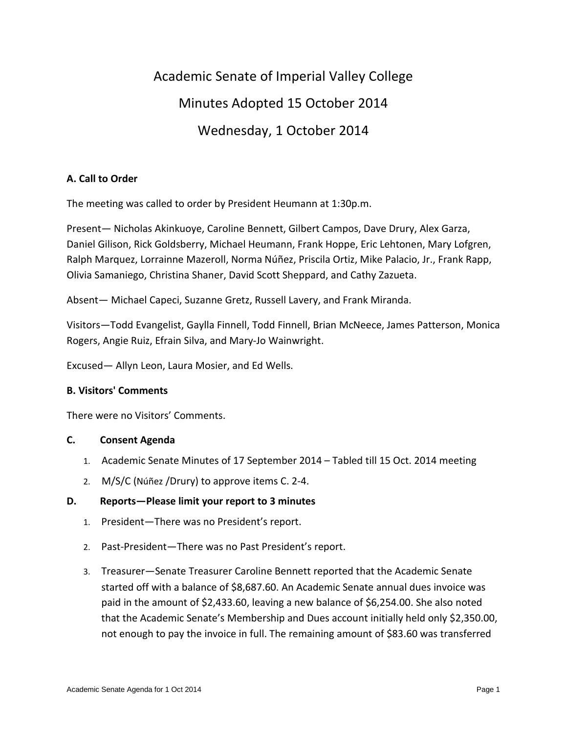# Academic Senate of Imperial Valley College Minutes Adopted 15 October 2014 Wednesday, 1 October 2014

## **A. Call to Order**

The meeting was called to order by President Heumann at 1:30p.m.

Present— Nicholas Akinkuoye, Caroline Bennett, Gilbert Campos, Dave Drury, Alex Garza, Daniel Gilison, Rick Goldsberry, Michael Heumann, Frank Hoppe, Eric Lehtonen, Mary Lofgren, Ralph Marquez, Lorrainne Mazeroll, Norma Núñez, Priscila Ortiz, Mike Palacio, Jr., Frank Rapp, Olivia Samaniego, Christina Shaner, David Scott Sheppard, and Cathy Zazueta.

Absent— Michael Capeci, Suzanne Gretz, Russell Lavery, and Frank Miranda.

Visitors—Todd Evangelist, Gaylla Finnell, Todd Finnell, Brian McNeece, James Patterson, Monica Rogers, Angie Ruiz, Efrain Silva, and Mary-Jo Wainwright.

Excused— Allyn Leon, Laura Mosier, and Ed Wells.

## **B. Visitors' Comments**

There were no Visitors' Comments.

#### **C. Consent Agenda**

- 1. Academic Senate Minutes of 17 September 2014 Tabled till 15 Oct. 2014 meeting
- 2. M/S/C (Núñez /Drury) to approve items C. 2-4.

## **D. Reports—Please limit your report to 3 minutes**

- 1. President—There was no President's report.
- 2. Past-President—There was no Past President's report.
- 3. Treasurer—Senate Treasurer Caroline Bennett reported that the Academic Senate started off with a balance of \$8,687.60. An Academic Senate annual dues invoice was paid in the amount of \$2,433.60, leaving a new balance of \$6,254.00. She also noted that the Academic Senate's Membership and Dues account initially held only \$2,350.00, not enough to pay the invoice in full. The remaining amount of \$83.60 was transferred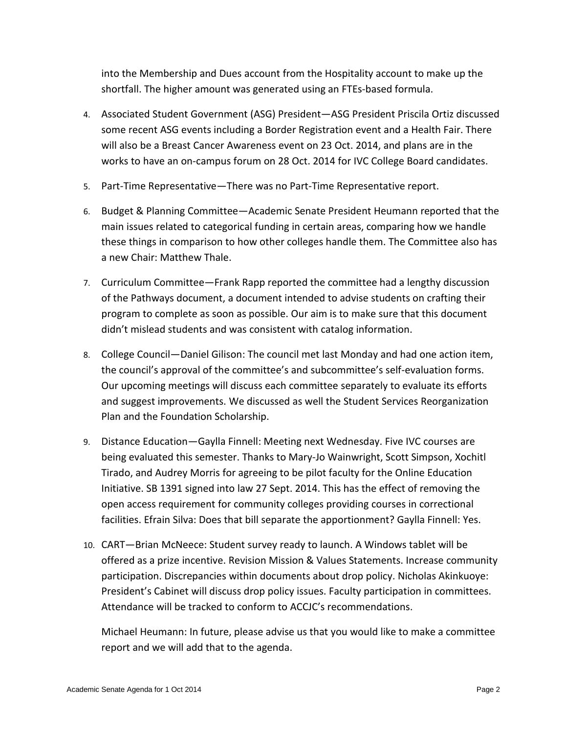into the Membership and Dues account from the Hospitality account to make up the shortfall. The higher amount was generated using an FTEs-based formula.

- 4. Associated Student Government (ASG) President—ASG President Priscila Ortiz discussed some recent ASG events including a Border Registration event and a Health Fair. There will also be a Breast Cancer Awareness event on 23 Oct. 2014, and plans are in the works to have an on-campus forum on 28 Oct. 2014 for IVC College Board candidates.
- 5. Part-Time Representative—There was no Part-Time Representative report.
- 6. Budget & Planning Committee—Academic Senate President Heumann reported that the main issues related to categorical funding in certain areas, comparing how we handle these things in comparison to how other colleges handle them. The Committee also has a new Chair: Matthew Thale.
- 7. Curriculum Committee—Frank Rapp reported the committee had a lengthy discussion of the Pathways document, a document intended to advise students on crafting their program to complete as soon as possible. Our aim is to make sure that this document didn't mislead students and was consistent with catalog information.
- 8. College Council—Daniel Gilison: The council met last Monday and had one action item, the council's approval of the committee's and subcommittee's self-evaluation forms. Our upcoming meetings will discuss each committee separately to evaluate its efforts and suggest improvements. We discussed as well the Student Services Reorganization Plan and the Foundation Scholarship.
- 9. Distance Education—Gaylla Finnell: Meeting next Wednesday. Five IVC courses are being evaluated this semester. Thanks to Mary-Jo Wainwright, Scott Simpson, Xochitl Tirado, and Audrey Morris for agreeing to be pilot faculty for the Online Education Initiative. SB 1391 signed into law 27 Sept. 2014. This has the effect of removing the open access requirement for community colleges providing courses in correctional facilities. Efrain Silva: Does that bill separate the apportionment? Gaylla Finnell: Yes.
- 10. CART—Brian McNeece: Student survey ready to launch. A Windows tablet will be offered as a prize incentive. Revision Mission & Values Statements. Increase community participation. Discrepancies within documents about drop policy. Nicholas Akinkuoye: President's Cabinet will discuss drop policy issues. Faculty participation in committees. Attendance will be tracked to conform to ACCJC's recommendations.

Michael Heumann: In future, please advise us that you would like to make a committee report and we will add that to the agenda.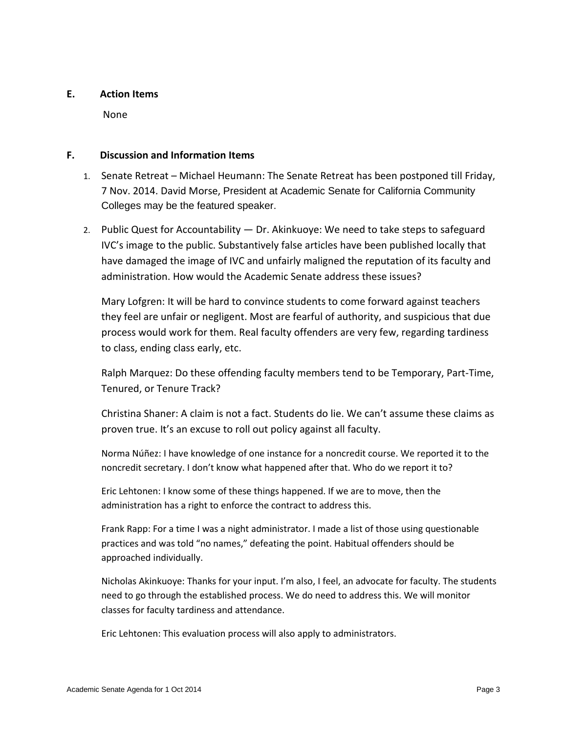### **E. Action Items**

None

#### **F. Discussion and Information Items**

- 1. Senate Retreat Michael Heumann: The Senate Retreat has been postponed till Friday, 7 Nov. 2014. David Morse, President at Academic Senate for California Community Colleges may be the featured speaker.
- 2. Public Quest for Accountability Dr. Akinkuoye: We need to take steps to safeguard IVC's image to the public. Substantively false articles have been published locally that have damaged the image of IVC and unfairly maligned the reputation of its faculty and administration. How would the Academic Senate address these issues?

Mary Lofgren: It will be hard to convince students to come forward against teachers they feel are unfair or negligent. Most are fearful of authority, and suspicious that due process would work for them. Real faculty offenders are very few, regarding tardiness to class, ending class early, etc.

Ralph Marquez: Do these offending faculty members tend to be Temporary, Part-Time, Tenured, or Tenure Track?

Christina Shaner: A claim is not a fact. Students do lie. We can't assume these claims as proven true. It's an excuse to roll out policy against all faculty.

Norma Núñez: I have knowledge of one instance for a noncredit course. We reported it to the noncredit secretary. I don't know what happened after that. Who do we report it to?

Eric Lehtonen: I know some of these things happened. If we are to move, then the administration has a right to enforce the contract to address this.

Frank Rapp: For a time I was a night administrator. I made a list of those using questionable practices and was told "no names," defeating the point. Habitual offenders should be approached individually.

Nicholas Akinkuoye: Thanks for your input. I'm also, I feel, an advocate for faculty. The students need to go through the established process. We do need to address this. We will monitor classes for faculty tardiness and attendance.

Eric Lehtonen: This evaluation process will also apply to administrators.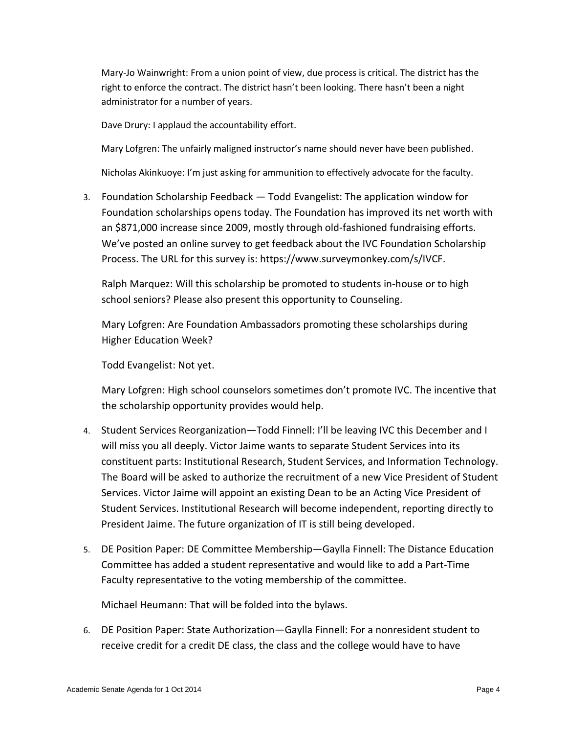Mary-Jo Wainwright: From a union point of view, due process is critical. The district has the right to enforce the contract. The district hasn't been looking. There hasn't been a night administrator for a number of years.

Dave Drury: I applaud the accountability effort.

Mary Lofgren: The unfairly maligned instructor's name should never have been published.

Nicholas Akinkuoye: I'm just asking for ammunition to effectively advocate for the faculty.

3. Foundation Scholarship Feedback — Todd Evangelist: The application window for Foundation scholarships opens today. The Foundation has improved its net worth with an \$871,000 increase since 2009, mostly through old-fashioned fundraising efforts. We've posted an online survey to get feedback about the IVC Foundation Scholarship Process. The URL for this survey is: https://www.surveymonkey.com/s/IVCF.

Ralph Marquez: Will this scholarship be promoted to students in-house or to high school seniors? Please also present this opportunity to Counseling.

Mary Lofgren: Are Foundation Ambassadors promoting these scholarships during Higher Education Week?

Todd Evangelist: Not yet.

Mary Lofgren: High school counselors sometimes don't promote IVC. The incentive that the scholarship opportunity provides would help.

- 4. Student Services Reorganization—Todd Finnell: I'll be leaving IVC this December and I will miss you all deeply. Victor Jaime wants to separate Student Services into its constituent parts: Institutional Research, Student Services, and Information Technology. The Board will be asked to authorize the recruitment of a new Vice President of Student Services. Victor Jaime will appoint an existing Dean to be an Acting Vice President of Student Services. Institutional Research will become independent, reporting directly to President Jaime. The future organization of IT is still being developed.
- 5. DE Position Paper: DE Committee Membership—Gaylla Finnell: The Distance Education Committee has added a student representative and would like to add a Part-Time Faculty representative to the voting membership of the committee.

Michael Heumann: That will be folded into the bylaws.

6. DE Position Paper: State Authorization—Gaylla Finnell: For a nonresident student to receive credit for a credit DE class, the class and the college would have to have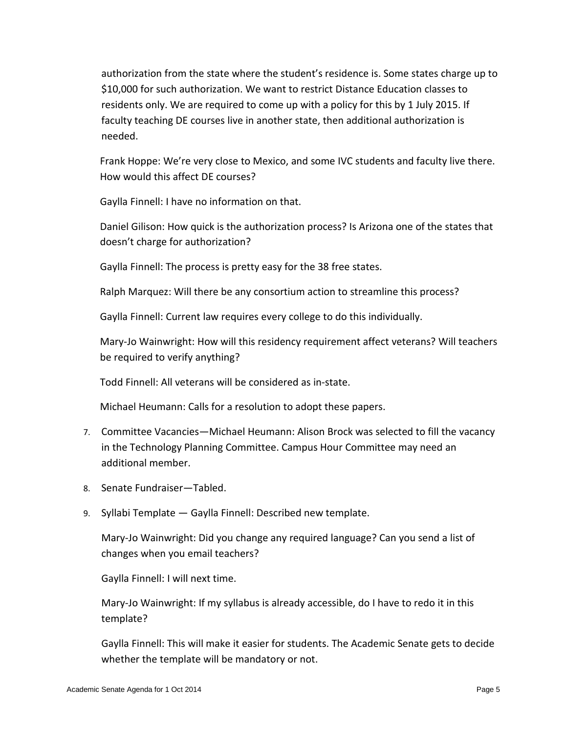authorization from the state where the student's residence is. Some states charge up to \$10,000 for such authorization. We want to restrict Distance Education classes to residents only. We are required to come up with a policy for this by 1 July 2015. If faculty teaching DE courses live in another state, then additional authorization is needed.

Frank Hoppe: We're very close to Mexico, and some IVC students and faculty live there. How would this affect DE courses?

Gaylla Finnell: I have no information on that.

Daniel Gilison: How quick is the authorization process? Is Arizona one of the states that doesn't charge for authorization?

Gaylla Finnell: The process is pretty easy for the 38 free states.

Ralph Marquez: Will there be any consortium action to streamline this process?

Gaylla Finnell: Current law requires every college to do this individually.

Mary-Jo Wainwright: How will this residency requirement affect veterans? Will teachers be required to verify anything?

Todd Finnell: All veterans will be considered as in-state.

Michael Heumann: Calls for a resolution to adopt these papers.

- 7. Committee Vacancies—Michael Heumann: Alison Brock was selected to fill the vacancy in the Technology Planning Committee. Campus Hour Committee may need an additional member.
- 8. Senate Fundraiser—Tabled.
- 9. Syllabi Template Gaylla Finnell: Described new template.

Mary-Jo Wainwright: Did you change any required language? Can you send a list of changes when you email teachers?

Gaylla Finnell: I will next time.

Mary-Jo Wainwright: If my syllabus is already accessible, do I have to redo it in this template?

Gaylla Finnell: This will make it easier for students. The Academic Senate gets to decide whether the template will be mandatory or not.